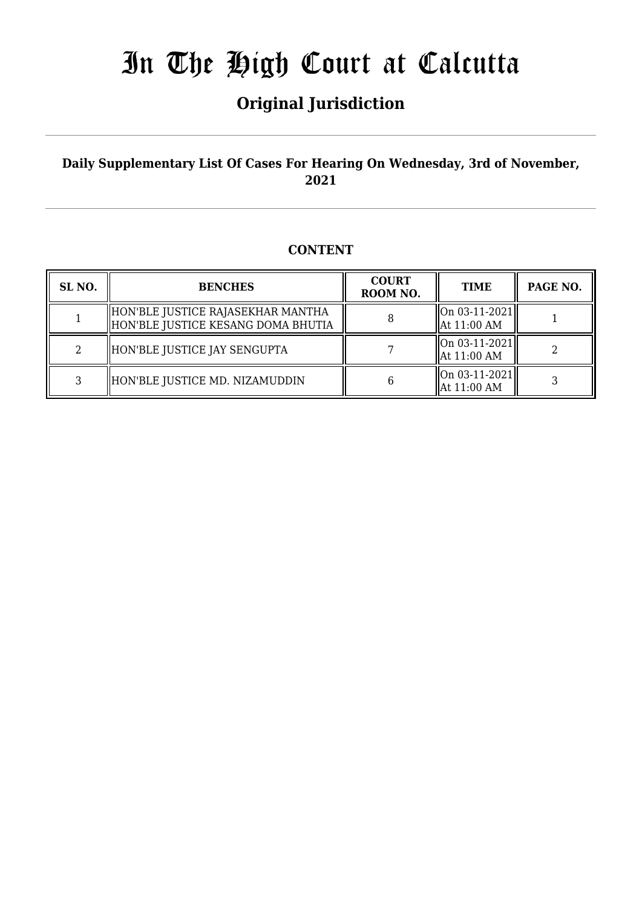## **Original Jurisdiction**

### **Daily Supplementary List Of Cases For Hearing On Wednesday, 3rd of November, 2021**

### **CONTENT**

| SL <sub>NO.</sub> | <b>BENCHES</b>                                                          | <b>COURT</b><br>ROOM NO. | <b>TIME</b>                                    | PAGE NO. |
|-------------------|-------------------------------------------------------------------------|--------------------------|------------------------------------------------|----------|
|                   | HON'BLE JUSTICE RAJASEKHAR MANTHA<br>HON'BLE JUSTICE KESANG DOMA BHUTIA |                          | $ On 03-11-2021 $<br>  At 11:00 AM             |          |
| 2                 | HON'BLE JUSTICE JAY SENGUPTA                                            |                          | $\vert$ On 03-11-2021 $\vert$<br>  At 11:00 AM |          |
| 3                 | HON'BLE JUSTICE MD. NIZAMUDDIN                                          |                          | On 03-11-2021<br>  At 11:00 AM                 |          |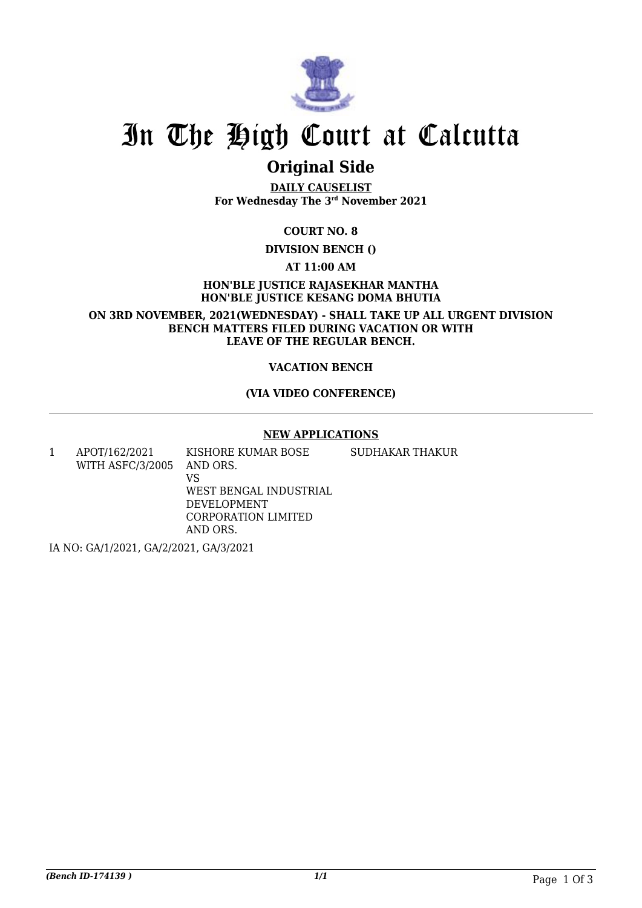

## **Original Side**

**DAILY CAUSELIST For Wednesday The 3rd November 2021**

**COURT NO. 8**

**DIVISION BENCH ()**

**AT 11:00 AM**

**HON'BLE JUSTICE RAJASEKHAR MANTHA HON'BLE JUSTICE KESANG DOMA BHUTIA**

**ON 3RD NOVEMBER, 2021(WEDNESDAY) - SHALL TAKE UP ALL URGENT DIVISION BENCH MATTERS FILED DURING VACATION OR WITH LEAVE OF THE REGULAR BENCH.**

#### **VACATION BENCH**

#### **(VIA VIDEO CONFERENCE)**

#### **NEW APPLICATIONS**

1 APOT/162/2021 WITH ASFC/3/2005 KISHORE KUMAR BOSE AND ORS. VS WEST BENGAL INDUSTRIAL DEVELOPMENT CORPORATION LIMITED AND ORS. SUDHAKAR THAKUR

IA NO: GA/1/2021, GA/2/2021, GA/3/2021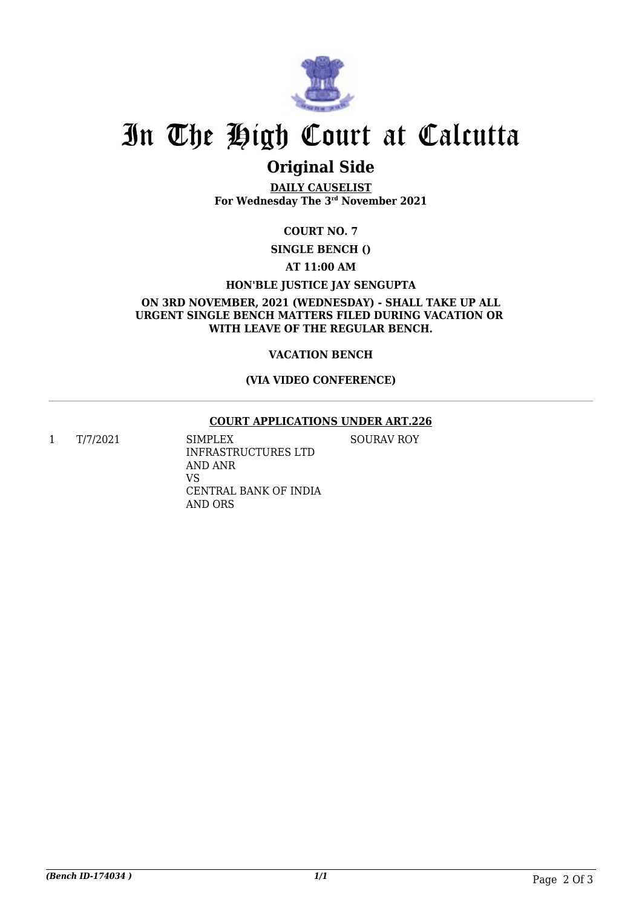

## **Original Side**

**DAILY CAUSELIST For Wednesday The 3rd November 2021**

### **COURT NO. 7**

**SINGLE BENCH ()**

#### **AT 11:00 AM**

#### **HON'BLE JUSTICE JAY SENGUPTA**

#### **ON 3RD NOVEMBER, 2021 (WEDNESDAY) - SHALL TAKE UP ALL URGENT SINGLE BENCH MATTERS FILED DURING VACATION OR WITH LEAVE OF THE REGULAR BENCH.**

#### **VACATION BENCH**

#### **(VIA VIDEO CONFERENCE)**

#### **COURT APPLICATIONS UNDER ART.226**

SOURAV ROY

1 T/7/2021 SIMPLEX

INFRASTRUCTURES LTD AND ANR VS CENTRAL BANK OF INDIA AND ORS